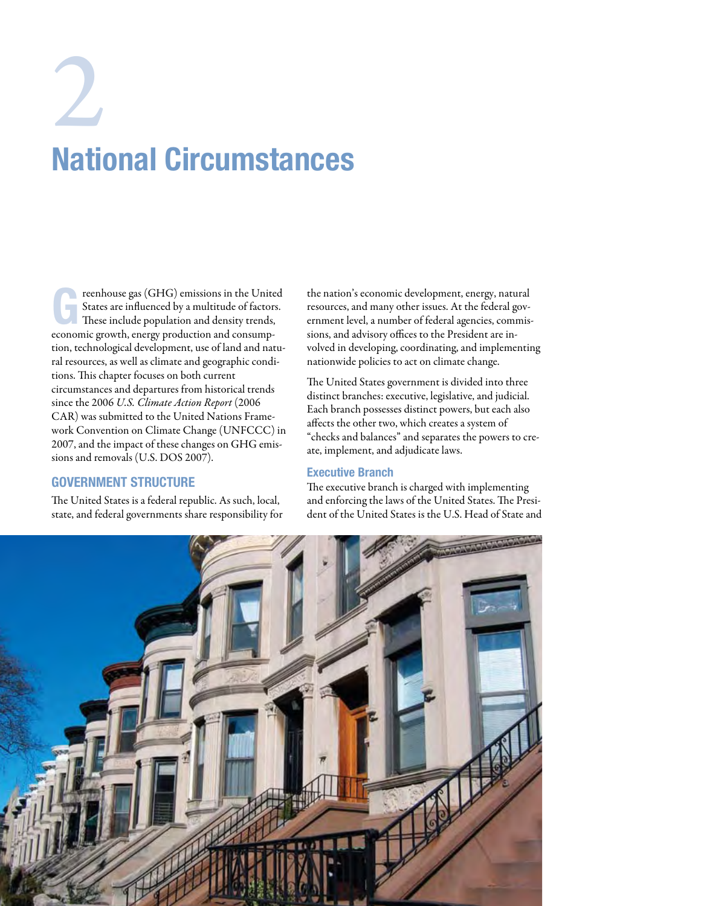# National Circumstances  $\sum_{\text{Matrix}}$

Freenhouse gas (GHG) emissions in the United<br>
States are influenced by a multitude of factors.<br>
These include population and density trends, States are influenced by a multitude of factors. economic growth, energy production and consumption, technological development, use of land and natural resources, as well as climate and geographic conditions. This chapter focuses on both current circumstances and departures from historical trends since the 2006 *U.S. Climate Action Report* (2006 CAR) was submitted to the United Nations Framework Convention on Climate Change (UNFCCC) in 2007, and the impact of these changes on GHG emissions and removals (U.S. DOS 2007).

# Government Structure

The United States is a federal republic. As such, local, state, and federal governments share responsibility for the nation's economic development, energy, natural resources, and many other issues. At the federal government level, a number of federal agencies, commissions, and advisory offices to the President are involved in developing, coordinating, and implementing nationwide policies to act on climate change.

The United States government is divided into three distinct branches: executive, legislative, and judicial. Each branch possesses distinct powers, but each also affects the other two, which creates a system of "checks and balances" and separates the powers to create, implement, and adjudicate laws.

# Executive Branch

The executive branch is charged with implementing and enforcing the laws of the United States. The President of the United States is the U.S. Head of State and

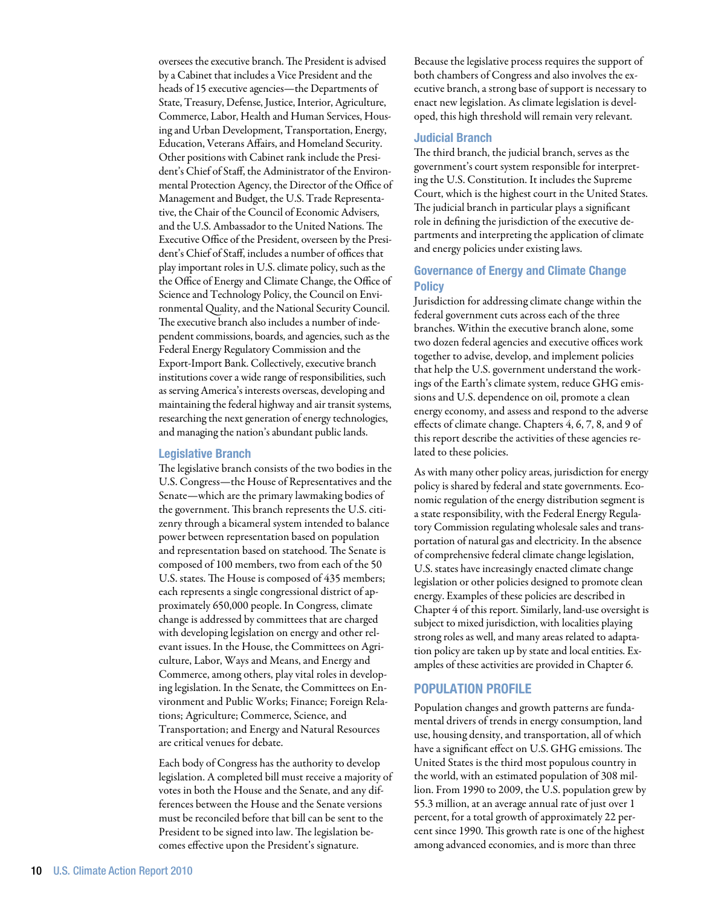oversees the executive branch. The President is advised by a Cabinet that includes a Vice President and the heads of 15 executive agencies—the Departments of State, Treasury, Defense, Justice, Interior, Agriculture, Commerce, Labor, Health and Human Services, Housing and Urban Development, Transportation, Energy, Education, Veterans Affairs, and Homeland Security. Other positions with Cabinet rank include the President's Chief of Staff, the Administrator of the Environmental Protection Agency, the Director of the Office of Management and Budget, the U.S. Trade Representative, the Chair of the Council of Economic Advisers, and the U.S. Ambassador to the United Nations. The Executive Office of the President, overseen by the President's Chief of Staff, includes a number of offices that play important roles in U.S. climate policy, such as the the Office of Energy and Climate Change, the Office of Science and Technology Policy, the Council on Environmental Quality, and the National Security Council. The executive branch also includes a number of independent commissions, boards, and agencies, such as the Federal Energy Regulatory Commission and the Export-Import Bank. Collectively, executive branch institutions cover a wide range of responsibilities, such as serving America's interests overseas, developing and maintaining the federal highway and air transit systems, researching the next generation of energy technologies, and managing the nation's abundant public lands.

#### Legislative Branch

The legislative branch consists of the two bodies in the U.S. Congress—the House of Representatives and the Senate—which are the primary lawmaking bodies of the government. This branch represents the U.S. citizenry through a bicameral system intended to balance power between representation based on population and representation based on statehood. The Senate is composed of 100 members, two from each of the 50 U.S. states. The House is composed of 435 members; each represents a single congressional district of approximately 650,000 people. In Congress, climate change is addressed by committees that are charged with developing legislation on energy and other relevant issues. In the House, the Committees on Agriculture, Labor, Ways and Means, and Energy and Commerce, among others, play vital roles in developing legislation. In the Senate, the Committees on Environment and Public Works; Finance; Foreign Relations; Agriculture; Commerce, Science, and Transportation; and Energy and Natural Resources are critical venues for debate.

Each body of Congress has the authority to develop legislation. A completed bill must receive a majority of votes in both the House and the Senate, and any differences between the House and the Senate versions must be reconciled before that bill can be sent to the President to be signed into law. The legislation becomes effective upon the President's signature.

Because the legislative process requires the support of both chambers of Congress and also involves the executive branch, a strong base of support is necessary to enact new legislation. As climate legislation is developed, this high threshold will remain very relevant.

# Judicial Branch

The third branch, the judicial branch, serves as the government's court system responsible for interpreting the U.S. Constitution. It includes the Supreme Court, which is the highest court in the United States. The judicial branch in particular plays a significant role in defining the jurisdiction of the executive departments and interpreting the application of climate and energy policies under existing laws.

# Governance of Energy and Climate Change **Policy**

Jurisdiction for addressing climate change within the federal government cuts across each of the three branches. Within the executive branch alone, some two dozen federal agencies and executive offices work together to advise, develop, and implement policies that help the U.S. government understand the workings of the Earth's climate system, reduce GHG emissions and U.S. dependence on oil, promote a clean energy economy, and assess and respond to the adverse effects of climate change. Chapters 4, 6, 7, 8, and 9 of this report describe the activities of these agencies related to these policies.

As with many other policy areas, jurisdiction for energy policy is shared by federal and state governments. Economic regulation of the energy distribution segment is a state responsibility, with the Federal Energy Regulatory Commission regulating wholesale sales and transportation of natural gas and electricity. In the absence of comprehensive federal climate change legislation, U.S. states have increasingly enacted climate change legislation or other policies designed to promote clean energy. Examples of these policies are described in Chapter 4 of this report. Similarly, land-use oversight is subject to mixed jurisdiction, with localities playing strong roles as well, and many areas related to adaptation policy are taken up by state and local entities. Examples of these activities are provided in Chapter 6.

# Population Profile

Population changes and growth patterns are fundamental drivers of trends in energy consumption, land use, housing density, and transportation, all of which have a significant effect on U.S. GHG emissions. The United States is the third most populous country in the world, with an estimated population of 308 million. From 1990 to 2009, the U.S. population grew by 55.3 million, at an average annual rate of just over 1 percent, for a total growth of approximately 22 percent since 1990. This growth rate is one of the highest among advanced economies, and is more than three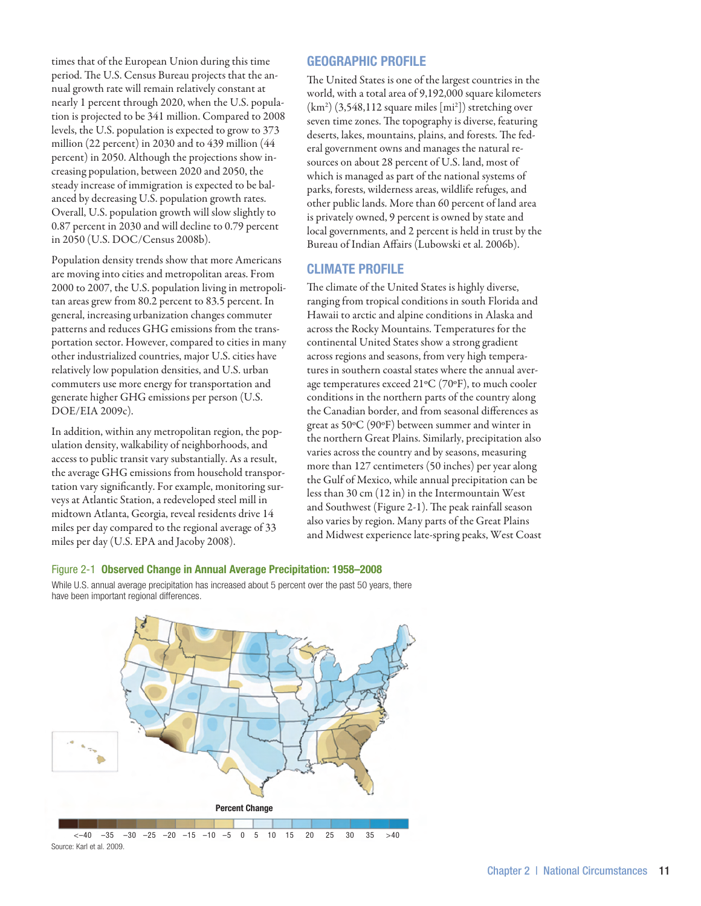times that of the European Union during this time period. The U.S. Census Bureau projects that the annual growth rate will remain relatively constant at nearly 1 percent through 2020, when the U.S. population is projected to be 341 million. Compared to 2008 levels, the U.S. population is expected to grow to 373 million (22 percent) in 2030 and to 439 million (44 percent) in 2050. Although the projections show increasing population, between 2020 and 2050, the steady increase of immigration is expected to be balanced by decreasing U.S. population growth rates. Overall, U.S. population growth will slow slightly to 0.87 percent in 2030 and will decline to 0.79 percent in 2050 (U.S. DOC/Census 2008b).

Population density trends show that more Americans are moving into cities and metropolitan areas. From 2000 to 2007, the U.S. population living in metropolitan areas grew from 80.2 percent to 83.5 percent. In general, increasing urbanization changes commuter patterns and reduces GHG emissions from the transportation sector. However, compared to cities in many other industrialized countries, major U.S. cities have relatively low population densities, and U.S. urban commuters use more energy for transportation and generate higher GHG emissions per person (U.S. DOE/EIA 2009c).

In addition, within any metropolitan region, the population density, walkability of neighborhoods, and access to public transit vary substantially. As a result, the average GHG emissions from household transportation vary significantly. For example, monitoring surveys at Atlantic Station, a redeveloped steel mill in midtown Atlanta, Georgia, reveal residents drive 14 miles per day compared to the regional average of 33 miles per day (U.S. EPA and Jacoby 2008).

# Geographic Profile

The United States is one of the largest countries in the world, with a total area of 9,192,000 square kilometers (km2 ) (3,548,112 square miles [mi2 ]) stretching over seven time zones. The topography is diverse, featuring deserts, lakes, mountains, plains, and forests. The federal government owns and manages the natural resources on about 28 percent of U.S. land, most of which is managed as part of the national systems of parks, forests, wilderness areas, wildlife refuges, and other public lands. More than 60 percent of land area is privately owned, 9 percent is owned by state and local governments, and 2 percent is held in trust by the Bureau of Indian Affairs (Lubowski et al. 2006b).

# Climate Profile

The climate of the United States is highly diverse, ranging from tropical conditions in south Florida and Hawaii to arctic and alpine conditions in Alaska and across the Rocky Mountains. Temperatures for the continental United States show a strong gradient across regions and seasons, from very high temperatures in southern coastal states where the annual average temperatures exceed 21ºC (70ºF), to much cooler conditions in the northern parts of the country along the Canadian border, and from seasonal differences as great as 50ºC (90ºF) between summer and winter in the northern Great Plains. Similarly, precipitation also varies across the country and by seasons, measuring more than 127 centimeters (50 inches) per year along the Gulf of Mexico, while annual precipitation can be less than 30 cm (12 in) in the Intermountain West and Southwest (Figure 2-1). The peak rainfall season also varies by region. Many parts of the Great Plains and Midwest experience late-spring peaks, West Coast

#### Figure 2-1 Observed Change in Annual Average Precipitation: 1958–2008

While U.S. annual average precipitation has increased about 5 percent over the past 50 years, there have been important regional differences.

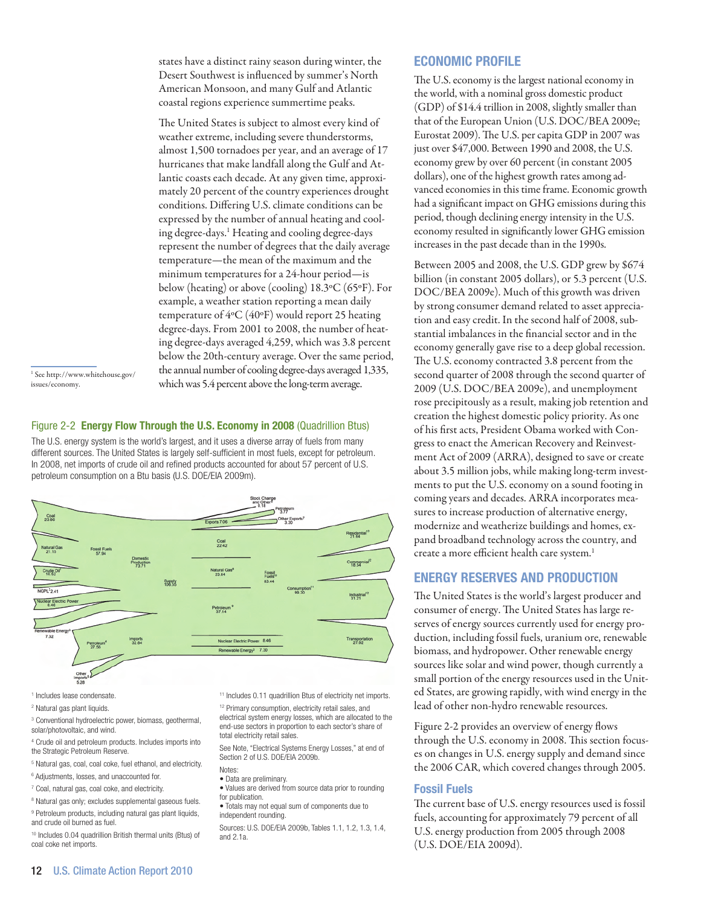states have a distinct rainy season during winter, the Desert Southwest is influenced by summer's North American Monsoon, and many Gulf and Atlantic coastal regions experience summertime peaks.

The United States is subject to almost every kind of weather extreme, including severe thunderstorms, almost 1,500 tornadoes per year, and an average of 17 hurricanes that make landfall along the Gulf and Atlantic coasts each decade. At any given time, approximately 20 percent of the country experiences drought conditions. Differing U.S. climate conditions can be expressed by the number of annual heating and cooling degree-days.<sup>1</sup> Heating and cooling degree-days represent the number of degrees that the daily average temperature—the mean of the maximum and the minimum temperatures for a 24-hour period—is below (heating) or above (cooling) 18.3ºC (65ºF). For example, a weather station reporting a mean daily temperature of 4ºC (40ºF) would report 25 heating degree-days. From 2001 to 2008, the number of heating degree-days averaged 4,259, which was 3.8 percent below the 20th-century average. Over the same period, the annual number of cooling degree-days averaged 1,335, which was 5.4 percent above the long-term average.

1 See http://www.whitehouse.gov/ issues/economy.

### Figure 2-2 Energy Flow Through the U.S. Economy in 2008 (Quadrillion Btus)

The U.S. energy system is the world's largest, and it uses a diverse array of fuels from many different sources. The United States is largely self-sufficient in most fuels, except for petroleum. In 2008, net imports of crude oil and refined products accounted for about 57 percent of U.S. petroleum consumption on a Btu basis (U.S. DOE/EIA 2009m).



1 Includes lease condensate.

2 Natural gas plant liquids.

- 3 Conventional hydroelectric power, biomass, geothermal, solar/photovoltaic, and wind.
- 4 Crude oil and petroleum products. Includes imports into the Strategic Petroleum Reserve.
- <sup>5</sup> Natural gas, coal, coal coke, fuel ethanol, and electricity.
- 6 Adjustments, losses, and unaccounted for.
- 7 Coal, natural gas, coal coke, and electricity.
- <sup>8</sup> Natural gas only; excludes supplemental gaseous fuels.
- <sup>9</sup> Petroleum products, including natural gas plant liquids, and crude oil burned as fuel.
- 10 Includes 0.04 quadrillion British thermal units (Btus) of coal coke net imports.

<sup>11</sup> Includes 0.11 quadrillion Btus of electricity net imports.

<sup>12</sup> Primary consumption, electricity retail sales, and electrical system energy losses, which are allocated to the end-use sectors in proportion to each sector's share of total electricity retail sales.

See Note, "Electrical Systems Energy Losses," at end of Section 2 of U.S. DOE/EIA 2009b.

- **Notes** • Data are preliminary.
- Values are derived from source data prior to rounding
- for publication. • Totals may not equal sum of components due to independent rounding.

Sources: U.S. DOE/EIA 2009b, Tables 1.1, 1.2, 1.3, 1.4, and 2.1a.

# Economic Profile

The U.S. economy is the largest national economy in the world, with a nominal gross domestic product (GDP) of \$14.4 trillion in 2008, slightly smaller than that of the European Union (U.S. DOC/BEA 2009e; Eurostat 2009). The U.S. per capita GDP in 2007 was just over \$47,000. Between 1990 and 2008, the U.S. economy grew by over 60 percent (in constant 2005 dollars), one of the highest growth rates among advanced economies in this time frame. Economic growth had a significant impact on GHG emissions during this period, though declining energy intensity in the U.S. economy resulted in significantly lower GHG emission increases in the past decade than in the 1990s.

Between 2005 and 2008, the U.S. GDP grew by \$674 billion (in constant 2005 dollars), or 5.3 percent (U.S. DOC/BEA 2009e). Much of this growth was driven by strong consumer demand related to asset appreciation and easy credit. In the second half of 2008, substantial imbalances in the financial sector and in the economy generally gave rise to a deep global recession. The U.S. economy contracted 3.8 percent from the second quarter of 2008 through the second quarter of 2009 (U.S. DOC/BEA 2009e), and unemployment rose precipitously as a result, making job retention and creation the highest domestic policy priority. As one of his first acts, President Obama worked with Congress to enact the American Recovery and Reinvestment Act of 2009 (ARRA), designed to save or create about 3.5 million jobs, while making long-term investments to put the U.S. economy on a sound footing in coming years and decades. ARRA incorporates measures to increase production of alternative energy, modernize and weatherize buildings and homes, expand broadband technology across the country, and create a more efficient health care system.<sup>1</sup>

# Energy Reserves and Production

The United States is the world's largest producer and consumer of energy. The United States has large reserves of energy sources currently used for energy production, including fossil fuels, uranium ore, renewable biomass, and hydropower. Other renewable energy sources like solar and wind power, though currently a small portion of the energy resources used in the United States, are growing rapidly, with wind energy in the lead of other non-hydro renewable resources.

Figure 2-2 provides an overview of energy flows through the U.S. economy in 2008. This section focuses on changes in U.S. energy supply and demand since the 2006 CAR, which covered changes through 2005.

# Fossil Fuels

The current base of U.S. energy resources used is fossil fuels, accounting for approximately 79 percent of all U.S. energy production from 2005 through 2008 (U.S. DOE/EIA 2009d).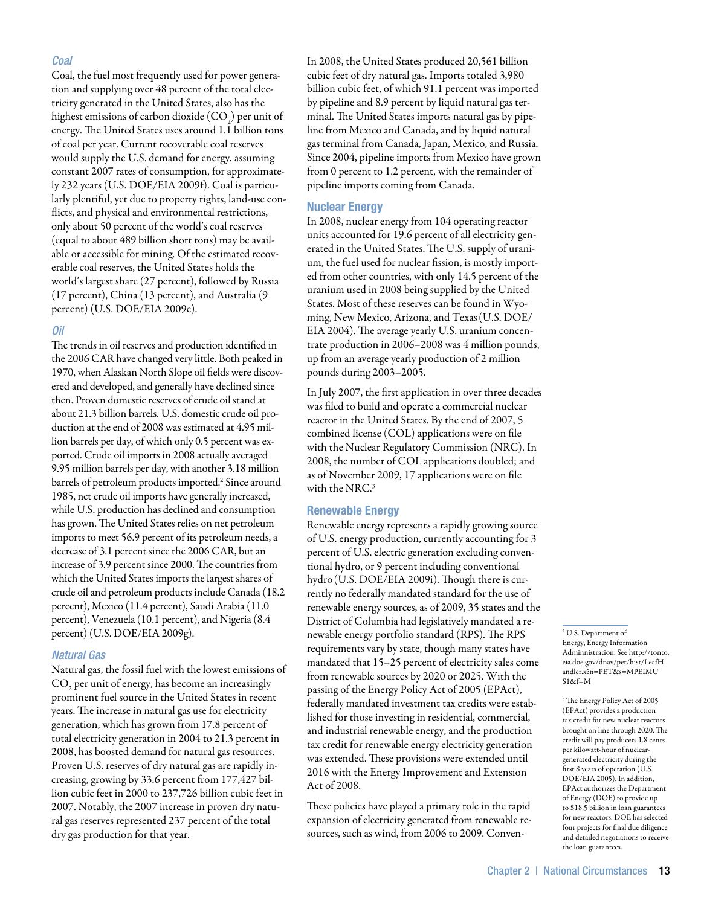#### *Coal*

Coal, the fuel most frequently used for power generation and supplying over 48 percent of the total electricity generated in the United States, also has the highest emissions of carbon dioxide (CO<sub>2</sub>) per unit of energy. The United States uses around 1.1 billion tons of coal per year. Current recoverable coal reserves would supply the U.S. demand for energy, assuming constant 2007 rates of consumption, for approximately 232 years (U.S. DOE/EIA 2009f). Coal is particularly plentiful, yet due to property rights, land-use conflicts, and physical and environmental restrictions, only about 50 percent of the world's coal reserves (equal to about 489 billion short tons) may be available or accessible for mining. Of the estimated recoverable coal reserves, the United States holds the world's largest share (27 percent), followed by Russia (17 percent), China (13 percent), and Australia (9 percent) (U.S. DOE/EIA 2009e).

#### *Oil*

The trends in oil reserves and production identified in the 2006 CAR have changed very little. Both peaked in 1970, when Alaskan North Slope oil fields were discovered and developed, and generally have declined since then. Proven domestic reserves of crude oil stand at about 21.3 billion barrels. U.S. domestic crude oil production at the end of 2008 was estimated at 4.95 million barrels per day, of which only 0.5 percent was exported. Crude oil imports in 2008 actually averaged 9.95 million barrels per day, with another 3.18 million barrels of petroleum products imported.<sup>2</sup> Since around 1985, net crude oil imports have generally increased, while U.S. production has declined and consumption has grown. The United States relies on net petroleum imports to meet 56.9 percent of its petroleum needs, a decrease of 3.1 percent since the 2006 CAR, but an increase of 3.9 percent since 2000. The countries from which the United States imports the largest shares of crude oil and petroleum products include Canada (18.2 percent), Mexico (11.4 percent), Saudi Arabia (11.0 percent), Venezuela (10.1 percent), and Nigeria (8.4 percent) (U.S. DOE/EIA 2009g).

#### *Natural Gas*

Natural gas, the fossil fuel with the lowest emissions of  $\mathrm{CO}_2$  per unit of energy, has become an increasingly prominent fuel source in the United States in recent years. The increase in natural gas use for electricity generation, which has grown from 17.8 percent of total electricity generation in 2004 to 21.3 percent in 2008, has boosted demand for natural gas resources. Proven U.S. reserves of dry natural gas are rapidly increasing, growing by 33.6 percent from 177,427 billion cubic feet in 2000 to 237,726 billion cubic feet in 2007. Notably, the 2007 increase in proven dry natural gas reserves represented 237 percent of the total dry gas production for that year.

In 2008, the United States produced 20,561 billion cubic feet of dry natural gas. Imports totaled 3,980 billion cubic feet, of which 91.1 percent was imported by pipeline and 8.9 percent by liquid natural gas terminal. The United States imports natural gas by pipeline from Mexico and Canada, and by liquid natural gas terminal from Canada, Japan, Mexico, and Russia. Since 2004, pipeline imports from Mexico have grown from 0 percent to 1.2 percent, with the remainder of pipeline imports coming from Canada.

### Nuclear Energy

In 2008, nuclear energy from 104 operating reactor units accounted for 19.6 percent of all electricity generated in the United States. The U.S. supply of uranium, the fuel used for nuclear fission, is mostly imported from other countries, with only 14.5 percent of the uranium used in 2008 being supplied by the United States. Most of these reserves can be found in Wyoming, New Mexico, Arizona, and Texas(U.S. DOE/ EIA 2004). The average yearly U.S. uranium concentrate production in 2006–2008 was 4 million pounds, up from an average yearly production of 2 million pounds during 2003–2005.

In July 2007, the first application in over three decades was filed to build and operate a commercial nuclear reactor in the United States. By the end of 2007, 5 combined license (COL) applications were on file with the Nuclear Regulatory Commission (NRC). In 2008, the number of COL applications doubled; and as of November 2009, 17 applications were on file with the NRC.<sup>3</sup>

#### Renewable Energy

Renewable energy represents a rapidly growing source of U.S. energy production, currently accounting for 3 percent of U.S. electric generation excluding conventional hydro, or 9 percent including conventional hydro(U.S. DOE/EIA 2009i). Though there is currently no federally mandated standard for the use of renewable energy sources, as of 2009, 35 states and the District of Columbia had legislatively mandated a renewable energy portfolio standard (RPS). The RPS requirements vary by state, though many states have mandated that 15–25 percent of electricity sales come from renewable sources by 2020 or 2025. With the passing of the Energy Policy Act of 2005 (EPAct), federally mandated investment tax credits were established for those investing in residential, commercial, and industrial renewable energy, and the production tax credit for renewable energy electricity generation was extended. These provisions were extended until 2016 with the Energy Improvement and Extension Act of 2008.

These policies have played a primary role in the rapid expansion of electricity generated from renewable resources, such as wind, from 2006 to 2009. Conven-

2 U.S. Department of Energy, Energy Information Adminnistration. See http://tonto. eia.doe.gov/dnav/pet/hist/LeafH andler.x?n=PET&s=MPEIMU  $S18f=M$ 

3 The Energy Policy Act of 2005 (EPAct) provides a production tax credit for new nuclear reactors brought on line through 2020. The credit will pay producers 1.8 cents per kilowatt-hour of nucleargenerated electricity during the first 8 years of operation (U.S. DOE/EIA 2005). In addition, EPAct authorizes the Department of Energy (DOE) to provide up to \$18.5 billion in loan guarantees for new reactors. DOE has selected four projects for final due diligence and detailed negotiations to receive the loan guarantees.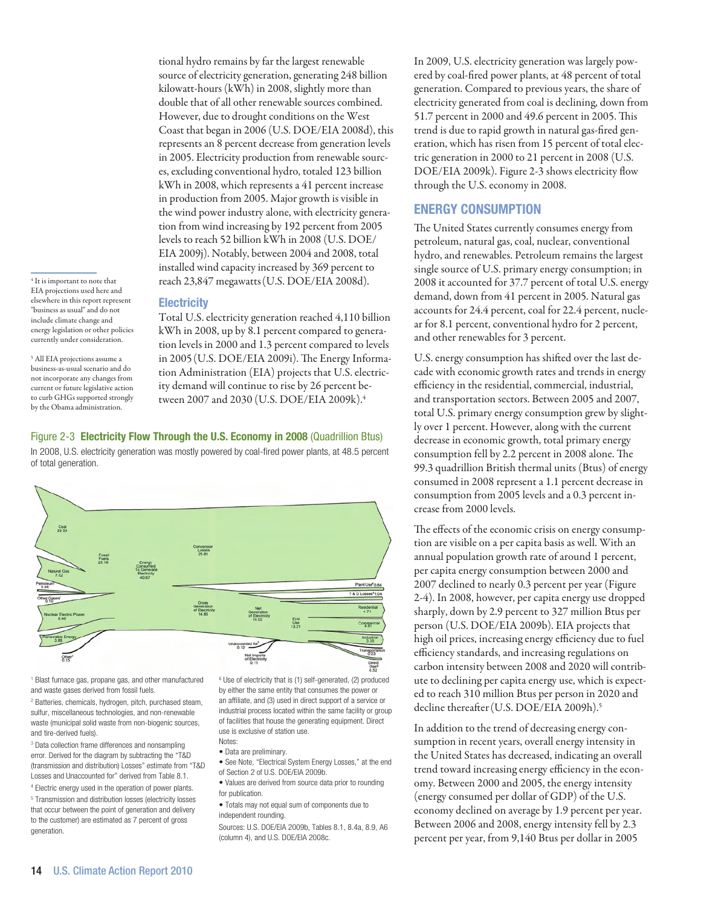<sup>4</sup> It is important to note that EIA projections used here and elsewhere in this report represent "business as usual" and do not include climate change and energy legislation or other policies currently under consideration.

5 All EIA projections assume a business-as-usual scenario and do not incorporate any changes from current or future legislative action to curb GHGs supported strongly by the Obama administration.

tional hydro remains by far the largest renewable source of electricity generation, generating 248 billion kilowatt-hours (kWh) in 2008, slightly more than double that of all other renewable sources combined. However, due to drought conditions on the West Coast that began in 2006 (U.S. DOE/EIA 2008d), this represents an 8 percent decrease from generation levels in 2005. Electricity production from renewable sources, excluding conventional hydro, totaled 123 billion kWh in 2008, which represents a 41 percent increase in production from 2005. Major growth is visible in the wind power industry alone, with electricity generation from wind increasing by 192 percent from 2005 levels to reach 52 billion kWh in 2008 (U.S. DOE/ EIA 2009j). Notably, between 2004 and 2008, total installed wind capacity increased by 369 percent to reach 23,847 megawatts(U.S. DOE/EIA 2008d).

# **Electricity**

Total U.S. electricity generation reached 4,110 billion kWh in 2008, up by 8.1 percent compared to generation levels in 2000 and 1.3 percent compared to levels in 2005(U.S. DOE/EIA 2009i). The Energy Information Administration (EIA) projects that U.S. electricity demand will continue to rise by 26 percent between 2007 and 2030 (U.S. DOE/EIA 2009k).4

Figure 2-3 Electricity Flow Through the U.S. Economy in 2008 (Quadrillion Btus) In 2008, U.S. electricity generation was mostly powered by coal-fired power plants, at 48.5 percent of total generation.



1 Blast furnace gas, propane gas, and other manufactured and waste gases derived from fossil fuels.

2 Batteries, chemicals, hydrogen, pitch, purchased steam, sulfur, miscellaneous technologies, and non-renewable waste (municipal solid waste from non-biogenic sources, and tire-derived fuels).

3 Data collection frame differences and nonsampling error. Derived for the diagram by subtracting the "T&D (transmission and distribution) Losses" estimate from "T&D Losses and Unaccounted for" derived from Table 8.1.

4 Electric energy used in the operation of power plants. 5 Transmission and distribution losses (electricity losses that occur between the point of generation and delivery to the customer) are estimated as 7 percent of gross generation.

<sup>6</sup> Use of electricity that is (1) self-generated, (2) produced by either the same entity that consumes the power or an affiliate, and (3) used in direct support of a service or industrial process located within the same facility or group of facilities that house the generating equipment. Direct use is exclusive of station use.

- Notes: • Data are preliminary.
- See Note, "Electrical System Energy Losses," at the end of Section 2 of U.S. DOE/EIA 2009b.
- Values are derived from source data prior to rounding for publication.
- Totals may not equal sum of components due to independent rounding.

Sources: U.S. DOE/EIA 2009b, Tables 8.1, 8.4a, 8.9, A6 (column 4), and U.S. DOE/EIA 2008c.

In 2009, U.S. electricity generation was largely powered by coal-fired power plants, at 48 percent of total generation. Compared to previous years, the share of electricity generated from coal is declining, down from 51.7 percent in 2000 and 49.6 percent in 2005. This trend is due to rapid growth in natural gas-fired generation, which has risen from 15 percent of total electric generation in 2000 to 21 percent in 2008 (U.S. DOE/EIA 2009k). Figure 2-3 shows electricity flow through the U.S. economy in 2008.

# Energy Consumption

The United States currently consumes energy from petroleum, natural gas, coal, nuclear, conventional hydro, and renewables. Petroleum remains the largest single source of U.S. primary energy consumption; in 2008 it accounted for 37.7 percent of total U.S. energy demand, down from 41 percent in 2005. Natural gas accounts for 24.4 percent, coal for 22.4 percent, nuclear for 8.1 percent, conventional hydro for 2 percent, and other renewables for 3 percent.

U.S. energy consumption has shifted over the last decade with economic growth rates and trends in energy efficiency in the residential, commercial, industrial, and transportation sectors. Between 2005 and 2007, total U.S. primary energy consumption grew by slightly over 1 percent. However, along with the current decrease in economic growth, total primary energy consumption fell by 2.2 percent in 2008 alone. The 99.3 quadrillion British thermal units (Btus) of energy consumed in 2008 represent a 1.1 percent decrease in consumption from 2005 levels and a 0.3 percent increase from 2000 levels.

The effects of the economic crisis on energy consumption are visible on a per capita basis as well. With an annual population growth rate of around 1 percent, per capita energy consumption between 2000 and 2007 declined to nearly 0.3 percent per year (Figure 2-4). In 2008, however, per capita energy use dropped sharply, down by 2.9 percent to 327 million Btus per person (U.S. DOE/EIA 2009b). EIA projects that high oil prices, increasing energy efficiency due to fuel efficiency standards, and increasing regulations on carbon intensity between 2008 and 2020 will contribute to declining per capita energy use, which is expected to reach 310 million Btus per person in 2020 and decline thereafter (U.S. DOE/EIA 2009h).<sup>5</sup>

In addition to the trend of decreasing energy consumption in recent years, overall energy intensity in the United States has decreased, indicating an overall trend toward increasing energy efficiency in the economy. Between 2000 and 2005, the energy intensity (energy consumed per dollar of GDP) of the U.S. economy declined on average by 1.9 percent per year. Between 2006 and 2008, energy intensity fell by 2.3 percent per year, from 9,140 Btus per dollar in 2005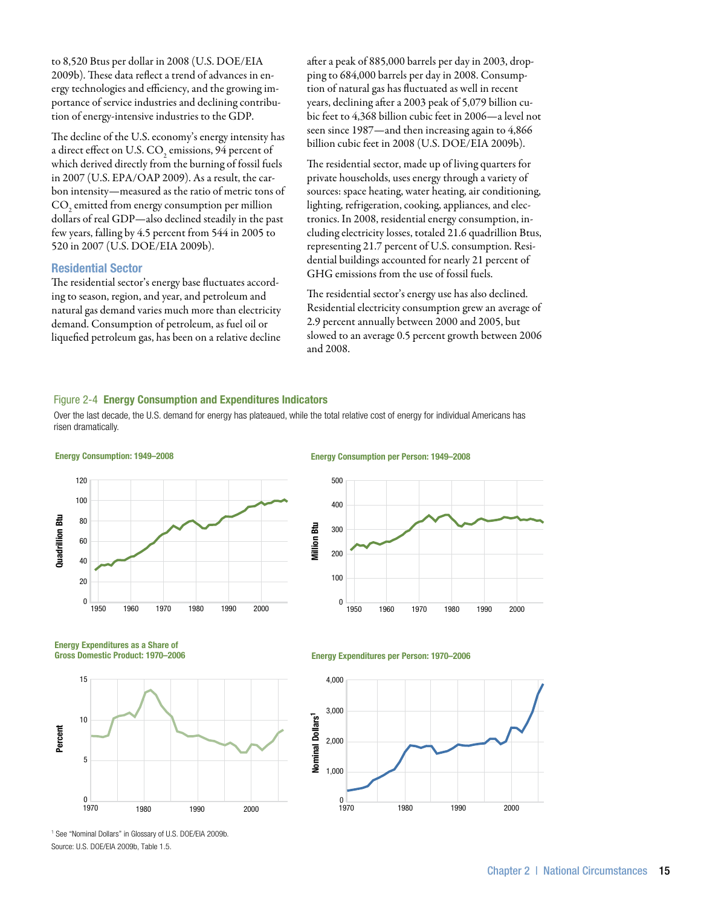to 8,520 Btus per dollar in 2008 (U.S. DOE/EIA 2009b). These data reflect a trend of advances in energy technologies and efficiency, and the growing importance of service industries and declining contribution of energy-intensive industries to the GDP.

The decline of the U.S. economy's energy intensity has a direct effect on U.S. CO<sub>2</sub> emissions, 94 percent of which derived directly from the burning of fossil fuels in 2007 (U.S. EPA/OAP 2009). As a result, the carbon intensity—measured as the ratio of metric tons of  $\mathrm{CO}_2^{}$  emitted from energy consumption per million dollars of real GDP—also declined steadily in the past few years, falling by 4.5 percent from 544 in 2005 to 520 in 2007 (U.S. DOE/EIA 2009b).

#### Residential Sector

The residential sector's energy base fluctuates according to season, region, and year, and petroleum and natural gas demand varies much more than electricity demand. Consumption of petroleum, as fuel oil or liquefied petroleum gas, has been on a relative decline after a peak of 885,000 barrels per day in 2003, dropping to 684,000 barrels per day in 2008. Consumption of natural gas has fluctuated as well in recent years, declining after a 2003 peak of 5,079 billion cubic feet to 4,368 billion cubic feet in 2006—a level not seen since 1987—and then increasing again to 4,866 billion cubic feet in 2008 (U.S. DOE/EIA 2009b).

The residential sector, made up of living quarters for private households, uses energy through a variety of sources: space heating, water heating, air conditioning, lighting, refrigeration, cooking, appliances, and electronics. In 2008, residential energy consumption, including electricity losses, totaled 21.6 quadrillion Btus, representing 21.7 percent of U.S. consumption. Residential buildings accounted for nearly 21 percent of GHG emissions from the use of fossil fuels.

The residential sector's energy use has also declined. Residential electricity consumption grew an average of 2.9 percent annually between 2000 and 2005, but slowed to an average 0.5 percent growth between 2006 and 2008.

#### Figure 2-4 Energy Consumption and Expenditures Indicators

Over the last decade, the U.S. demand for energy has plateaued, while the total relative cost of energy for individual Americans has risen dramatically.



#### Energy Consumption per Person: 1949–2008



Energy Expenditures as a Share of Gross Domestic Product: 1970–2006





1 See "Nominal Dollars" in Glossary of U.S. DOE/EIA 2009b. Source: U.S. DOE/EIA 2009b, Table 1.5.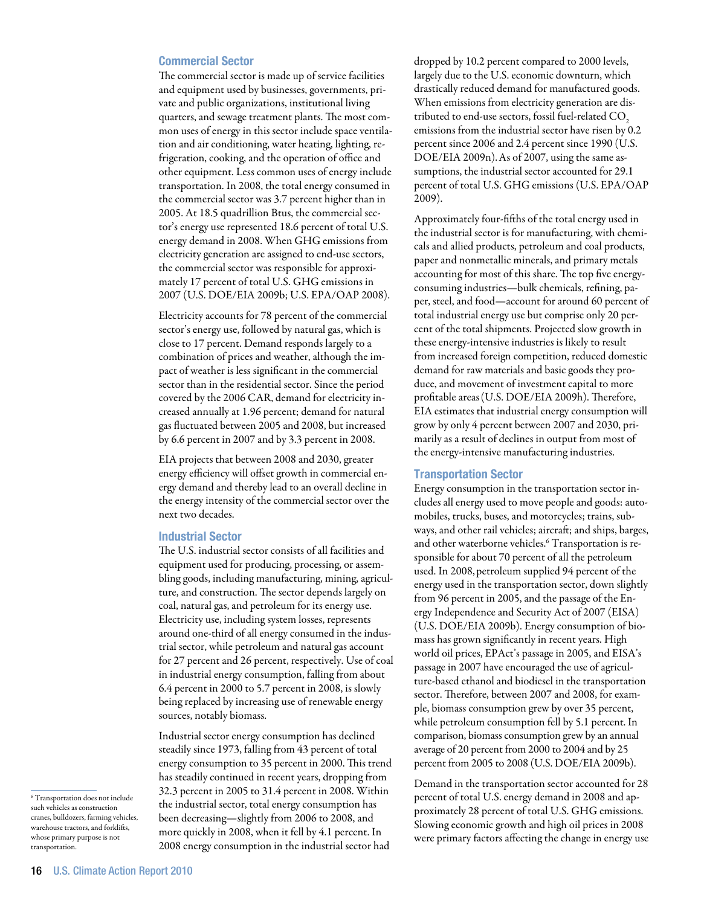#### Commercial Sector

The commercial sector is made up of service facilities and equipment used by businesses, governments, private and public organizations, institutional living quarters, and sewage treatment plants. The most common uses of energy in this sector include space ventilation and air conditioning, water heating, lighting, refrigeration, cooking, and the operation of office and other equipment. Less common uses of energy include transportation. In 2008, the total energy consumed in the commercial sector was 3.7 percent higher than in 2005. At 18.5 quadrillion Btus, the commercial sector's energy use represented 18.6 percent of total U.S. energy demand in 2008. When GHG emissions from electricity generation are assigned to end-use sectors, the commercial sector was responsible for approximately 17 percent of total U.S. GHG emissions in 2007 (U.S. DOE/EIA 2009b; U.S. EPA/OAP 2008).

Electricity accounts for 78 percent of the commercial sector's energy use, followed by natural gas, which is close to 17 percent. Demand responds largely to a combination of prices and weather, although the impact of weather is less significant in the commercial sector than in the residential sector. Since the period covered by the 2006 CAR, demand for electricity increased annually at 1.96 percent; demand for natural gas fluctuated between 2005 and 2008, but increased by 6.6 percent in 2007 and by 3.3 percent in 2008.

EIA projects that between 2008 and 2030, greater energy efficiency will offset growth in commercial energy demand and thereby lead to an overall decline in the energy intensity of the commercial sector over the next two decades.

#### Industrial Sector

The U.S. industrial sector consists of all facilities and equipment used for producing, processing, or assembling goods, including manufacturing, mining, agriculture, and construction. The sector depends largely on coal, natural gas, and petroleum for its energy use. Electricity use, including system losses, represents around one-third of all energy consumed in the industrial sector, while petroleum and natural gas account for 27 percent and 26 percent, respectively. Use of coal in industrial energy consumption, falling from about 6.4 percent in 2000 to 5.7 percent in 2008, is slowly being replaced by increasing use of renewable energy sources, notably biomass.

Industrial sector energy consumption has declined steadily since 1973, falling from 43 percent of total energy consumption to 35 percent in 2000. This trend has steadily continued in recent years, dropping from 32.3 percent in 2005 to 31.4 percent in 2008. Within the industrial sector, total energy consumption has been decreasing—slightly from 2006 to 2008, and more quickly in 2008, when it fell by 4.1 percent. In 2008 energy consumption in the industrial sector had

dropped by 10.2 percent compared to 2000 levels, largely due to the U.S. economic downturn, which drastically reduced demand for manufactured goods. When emissions from electricity generation are distributed to end-use sectors, fossil fuel-related  $CO<sub>2</sub>$ emissions from the industrial sector have risen by 0.2 percent since 2006 and 2.4 percent since 1990 (U.S. DOE/EIA 2009n).As of 2007, using the same assumptions, the industrial sector accounted for 29.1 percent of total U.S. GHG emissions (U.S. EPA/OAP 2009).

Approximately four-fifths of the total energy used in the industrial sector is for manufacturing, with chemicals and allied products, petroleum and coal products, paper and nonmetallic minerals, and primary metals accounting for most of this share. The top five energyconsuming industries—bulk chemicals, refining, paper, steel, and food—account for around 60 percent of total industrial energy use but comprise only 20 percent of the total shipments. Projected slow growth in these energy-intensive industries is likely to result from increased foreign competition, reduced domestic demand for raw materials and basic goods they produce, and movement of investment capital to more profitable areas(U.S. DOE/EIA 2009h). Therefore, EIA estimates that industrial energy consumption will grow by only 4 percent between 2007 and 2030, primarily as a result of declines in output from most of the energy-intensive manufacturing industries.

#### Transportation Sector

Energy consumption in the transportation sector includes all energy used to move people and goods: automobiles, trucks, buses, and motorcycles; trains, subways, and other rail vehicles; aircraft; and ships, barges, and other waterborne vehicles.6 Transportation is responsible for about 70 percent of all the petroleum used. In 2008, petroleum supplied 94 percent of the energy used in the transportation sector, down slightly from 96 percent in 2005, and the passage of the Energy Independence and Security Act of 2007 (EISA) (U.S. DOE/EIA 2009b). Energy consumption of biomass has grown significantly in recent years. High world oil prices, EPAct's passage in 2005, and EISA's passage in 2007 have encouraged the use of agriculture-based ethanol and biodiesel in the transportation sector. Therefore, between 2007 and 2008, for example, biomass consumption grew by over 35 percent, while petroleum consumption fell by 5.1 percent. In comparison, biomass consumption grew by an annual average of 20 percent from 2000 to 2004 and by 25 percent from 2005 to 2008 (U.S. DOE/EIA 2009b).

Demand in the transportation sector accounted for 28 percent of total U.S. energy demand in 2008 and approximately 28 percent of total U.S. GHG emissions. Slowing economic growth and high oil prices in 2008 were primary factors affecting the change in energy use

<sup>6</sup> Transportation does not include such vehicles as construction cranes, bulldozers, farming vehicles, warehouse tractors, and forklifts, whose primary purpose is not transportation.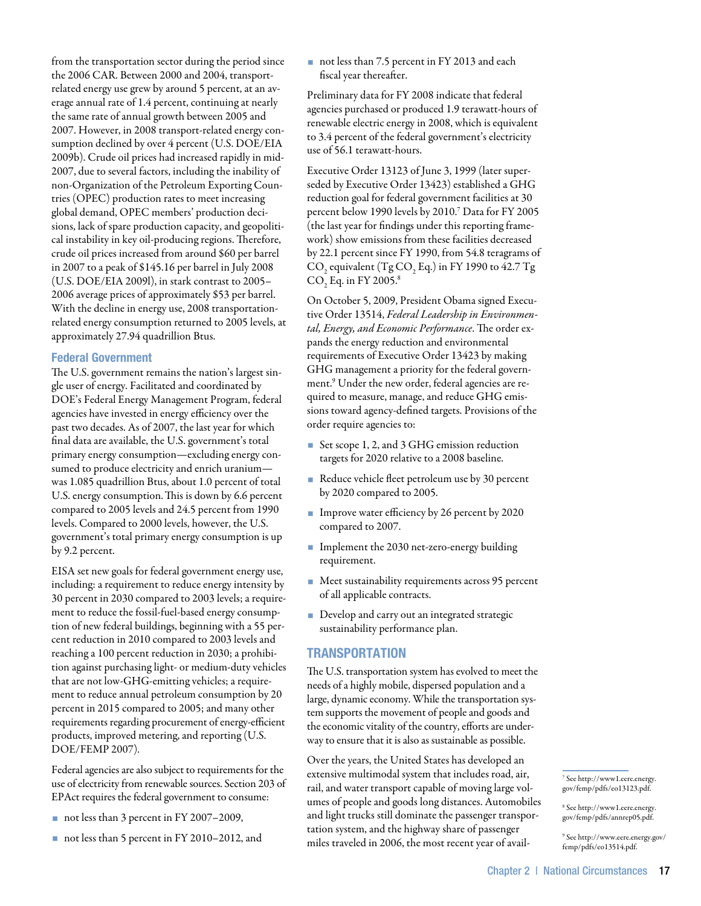from the transportation sector during the period since the 2006 CAR. Between 2000 and 2004, transportrelated energy use grew by around 5 percent, at an average annual rate of 1.4 percent, continuing at nearly the same rate of annual growth between 2005 and 2007. However, in 2008 transport-related energy consumption declined by over 4 percent (U.S. DOE/EIA 2009b). Crude oil prices had increased rapidly in mid-2007, due to several factors, including the inability of non-Organization of the Petroleum Exporting Countries (OPEC) production rates to meet increasing global demand, OPEC members' production decisions, lack of spare production capacity, and geopolitical instability in key oil-producing regions. Therefore, crude oil prices increased from around \$60 per barrel in 2007 to a peak of \$145.16 per barrel in July 2008 (U.S. DOE/EIA 2009l), in stark contrast to 2005– 2006 average prices of approximately \$53 per barrel. With the decline in energy use, 2008 transportationrelated energy consumption returned to 2005 levels, at approximately 27.94 quadrillion Btus.

# Federal Government

The U.S. government remains the nation's largest single user of energy. Facilitated and coordinated by DOE's Federal Energy Management Program, federal agencies have invested in energy efficiency over the past two decades. As of 2007, the last year for which final data are available, the U.S. government's total primary energy consumption—excluding energy consumed to produce electricity and enrich uranium was 1.085 quadrillion Btus, about 1.0 percent of total U.S. energy consumption.This is down by 6.6 percent compared to 2005 levels and 24.5 percent from 1990 levels. Compared to 2000 levels, however, the U.S. government's total primary energy consumption is up by 9.2 percent.

EISA set new goals for federal government energy use, including: a requirement to reduce energy intensity by 30 percent in 2030 compared to 2003 levels; a requirement to reduce the fossil-fuel-based energy consumption of new federal buildings, beginning with a 55 percent reduction in 2010 compared to 2003 levels and reaching a 100 percent reduction in 2030; a prohibition against purchasing light- or medium-duty vehicles that are not low-GHG-emitting vehicles; a requirement to reduce annual petroleum consumption by 20 percent in 2015 compared to 2005; and many other requirements regarding procurement of energy-efficient products, improved metering, and reporting (U.S. DOE/FEMP 2007).

Federal agencies are also subject to requirements for the use of electricity from renewable sources. Section 203 of EPAct requires the federal government to consume:

- not less than 3 percent in FY 2007–2009,
- not less than 5 percent in FY 2010–2012, and

not less than 7.5 percent in FY 2013 and each fiscal year thereafter.

Preliminary data for FY 2008 indicate that federal agencies purchased or produced 1.9 terawatt-hours of renewable electric energy in 2008, which is equivalent to 3.4 percent of the federal government's electricity use of 56.1 terawatt-hours.

Executive Order 13123 of June 3, 1999 (later superseded by Executive Order 13423) established a GHG reduction goal for federal government facilities at 30 percent below 1990 levels by 2010.7 Data for FY 2005 (the last year for findings under this reporting framework) show emissions from these facilities decreased by 22.1 percent since FY 1990, from 54.8 teragrams of  $\rm CO_{2}$  equivalent (Tg  $\rm CO_{2}$  Eq.) in FY 1990 to 42.7 Tg  $\rm CO_{2}$  Eq. in FY 2005.<sup>8</sup>

On October 5, 2009, President Obama signed Executive Order 13514, *Federal Leadership in Environmental, Energy, and Economic Performance*. The order expands the energy reduction and environmental requirements of Executive Order 13423 by making GHG management a priority for the federal government.9 Under the new order, federal agencies are required to measure, manage, and reduce GHG emissions toward agency-defined targets. Provisions of the order require agencies to:

- Set scope 1, 2, and 3 GHG emission reduction targets for 2020 relative to a 2008 baseline.
- Reduce vehicle fleet petroleum use by 30 percent by 2020 compared to 2005.
- Improve water efficiency by 26 percent by 2020 compared to 2007.
- **Implement the 2030 net-zero-energy building** requirement.
- Meet sustainability requirements across 95 percent of all applicable contracts.
- Develop and carry out an integrated strategic sustainability performance plan.

# **TRANSPORTATION**

The U.S. transportation system has evolved to meet the needs of a highly mobile, dispersed population and a large, dynamic economy. While the transportation system supports the movement of people and goods and the economic vitality of the country, efforts are underway to ensure that it is also as sustainable as possible.

Over the years, the United States has developed an extensive multimodal system that includes road, air, rail, and water transport capable of moving large volumes of people and goods long distances. Automobiles and light trucks still dominate the passenger transportation system, and the highway share of passenger miles traveled in 2006, the most recent year of avail-

7 See http://www1.eere.energy. gov/femp/pdfs/eo13123.pdf.

8 See http://www1.eere.energy. gov/femp/pdfs/annrep05.pdf.

9 See http://www.eere.energy.gov/ femp/pdfs/eo13514.pdf.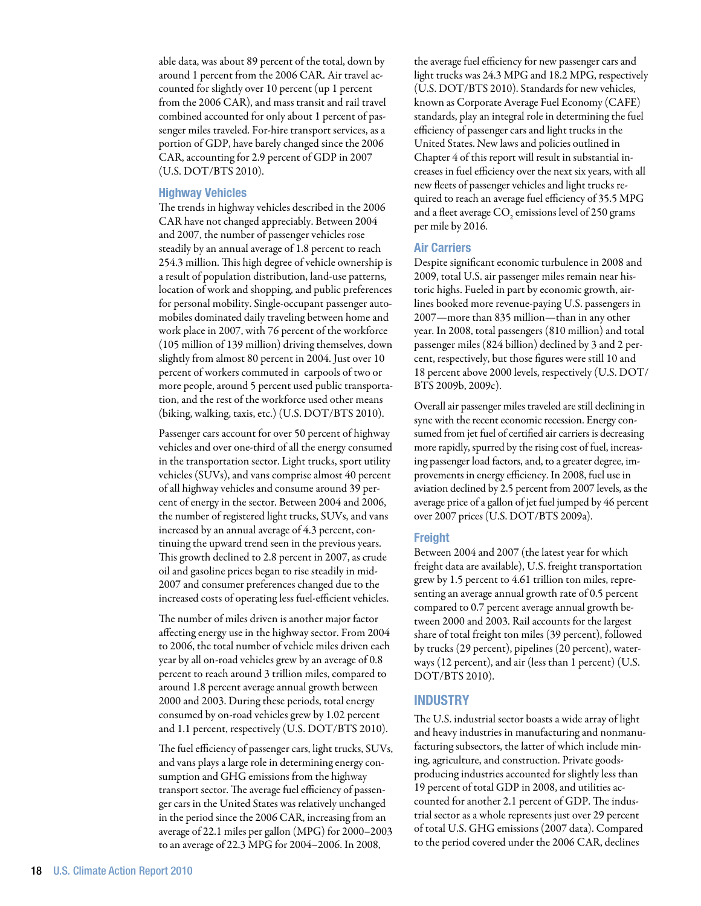able data, was about 89 percent of the total, down by around 1 percent from the 2006 CAR. Air travel accounted for slightly over 10 percent (up 1 percent from the 2006 CAR), and mass transit and rail travel combined accounted for only about 1 percent of passenger miles traveled. For-hire transport services, as a portion of GDP, have barely changed since the 2006 CAR, accounting for 2.9 percent of GDP in 2007 (U.S. DOT/BTS 2010).

#### Highway Vehicles

The trends in highway vehicles described in the 2006 CAR have not changed appreciably. Between 2004 and 2007, the number of passenger vehicles rose steadily by an annual average of 1.8 percent to reach 254.3 million. This high degree of vehicle ownership is a result of population distribution, land-use patterns, location of work and shopping, and public preferences for personal mobility. Single-occupant passenger automobiles dominated daily traveling between home and work place in 2007, with 76 percent of the workforce (105 million of 139 million) driving themselves, down slightly from almost 80 percent in 2004. Just over 10 percent of workers commuted in carpools of two or more people, around 5 percent used public transportation, and the rest of the workforce used other means (biking, walking, taxis, etc.) (U.S. DOT/BTS 2010).

Passenger cars account for over 50 percent of highway vehicles and over one-third of all the energy consumed in the transportation sector. Light trucks, sport utility vehicles (SUVs), and vans comprise almost 40 percent of all highway vehicles and consume around 39 percent of energy in the sector. Between 2004 and 2006, the number of registered light trucks, SUVs, and vans increased by an annual average of 4.3 percent, continuing the upward trend seen in the previous years. This growth declined to 2.8 percent in 2007, as crude oil and gasoline prices began to rise steadily in mid-2007 and consumer preferences changed due to the increased costs of operating less fuel-efficient vehicles.

The number of miles driven is another major factor affecting energy use in the highway sector. From 2004 to 2006, the total number of vehicle miles driven each year by all on-road vehicles grew by an average of 0.8 percent to reach around 3 trillion miles, compared to around 1.8 percent average annual growth between 2000 and 2003. During these periods, total energy consumed by on-road vehicles grew by 1.02 percent and 1.1 percent, respectively (U.S. DOT/BTS 2010).

The fuel efficiency of passenger cars, light trucks, SUVs, and vans plays a large role in determining energy consumption and GHG emissions from the highway transport sector. The average fuel efficiency of passenger cars in the United States was relatively unchanged in the period since the 2006 CAR, increasing from an average of 22.1 miles per gallon (MPG) for 2000–2003 to an average of 22.3 MPG for 2004–2006. In 2008,

the average fuel efficiency for new passenger cars and light trucks was 24.3 MPG and 18.2 MPG, respectively (U.S. DOT/BTS 2010). Standards for new vehicles, known as Corporate Average Fuel Economy (CAFE) standards, play an integral role in determining the fuel efficiency of passenger cars and light trucks in the United States. New laws and policies outlined in Chapter 4 of this report will result in substantial increases in fuel efficiency over the next six years, with all new fleets of passenger vehicles and light trucks required to reach an average fuel efficiency of 35.5 MPG and a fleet average  $\mathrm{CO}_2$  emissions level of 250 grams per mile by 2016.

#### Air Carriers

Despite significant economic turbulence in 2008 and 2009, total U.S. air passenger miles remain near historic highs. Fueled in part by economic growth, airlines booked more revenue-paying U.S. passengers in 2007—more than 835 million—than in any other year. In 2008, total passengers (810 million) and total passenger miles (824 billion) declined by 3 and 2 percent, respectively, but those figures were still 10 and 18 percent above 2000 levels, respectively (U.S. DOT/ BTS 2009b, 2009c).

Overall air passenger miles traveled are still declining in sync with the recent economic recession. Energy consumed from jet fuel of certified air carriers is decreasing more rapidly, spurred by the rising cost of fuel, increasing passenger load factors, and, to a greater degree, improvements in energy efficiency. In 2008, fuel use in aviation declined by 2.5 percent from 2007 levels, as the average price of a gallon of jet fuel jumped by 46 percent over 2007 prices (U.S. DOT/BTS 2009a).

#### Freight

Between 2004 and 2007 (the latest year for which freight data are available), U.S. freight transportation grew by 1.5 percent to 4.61 trillion ton miles, representing an average annual growth rate of 0.5 percent compared to 0.7 percent average annual growth between 2000 and 2003. Rail accounts for the largest share of total freight ton miles (39 percent), followed by trucks (29 percent), pipelines (20 percent), waterways (12 percent), and air (less than 1 percent) (U.S. DOT/BTS 2010).

#### **INDUSTRY**

The U.S. industrial sector boasts a wide array of light and heavy industries in manufacturing and nonmanufacturing subsectors, the latter of which include mining, agriculture, and construction. Private goodsproducing industries accounted for slightly less than 19 percent of total GDP in 2008, and utilities accounted for another 2.1 percent of GDP. The industrial sector as a whole represents just over 29 percent of total U.S. GHG emissions (2007 data). Compared to the period covered under the 2006 CAR, declines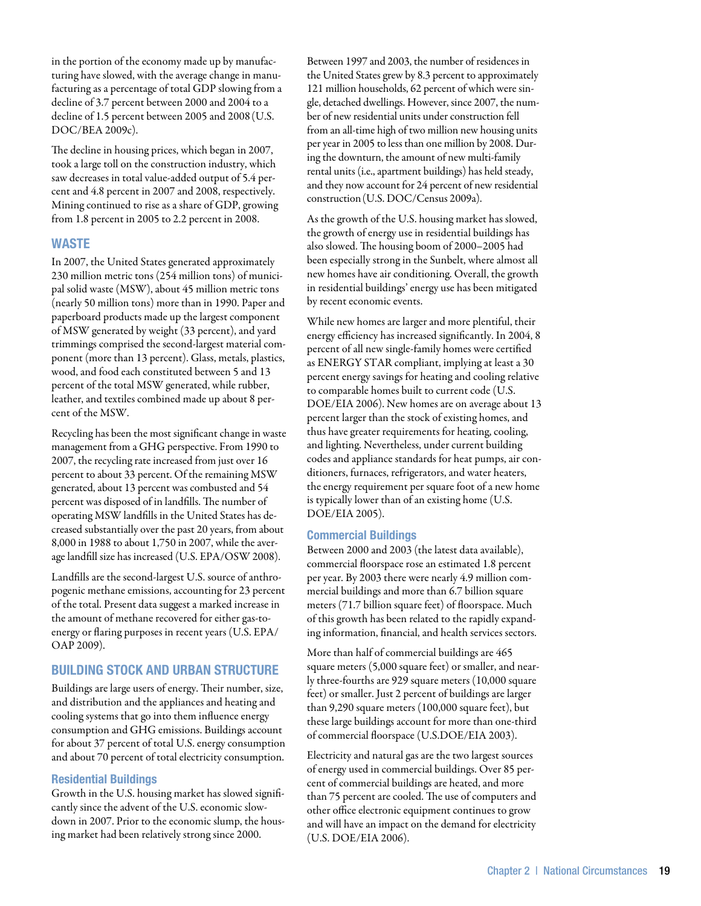in the portion of the economy made up by manufacturing have slowed, with the average change in manufacturing as a percentage of total GDP slowing from a decline of 3.7 percent between 2000 and 2004 to a decline of 1.5 percent between 2005 and 2008(U.S. DOC/BEA 2009c).

The decline in housing prices, which began in 2007, took a large toll on the construction industry, which saw decreases in total value-added output of 5.4 percent and 4.8 percent in 2007 and 2008, respectively. Mining continued to rise as a share of GDP, growing from 1.8 percent in 2005 to 2.2 percent in 2008.

# **WASTE**

In 2007, the United States generated approximately 230 million metric tons (254 million tons) of municipal solid waste (MSW), about 45 million metric tons (nearly 50 million tons) more than in 1990. Paper and paperboard products made up the largest component of MSW generated by weight (33 percent), and yard trimmings comprised the second-largest material component (more than 13 percent). Glass, metals, plastics, wood, and food each constituted between 5 and 13 percent of the total MSW generated, while rubber, leather, and textiles combined made up about 8 percent of the MSW.

Recycling has been the most significant change in waste management from a GHG perspective. From 1990 to 2007, the recycling rate increased from just over 16 percent to about 33 percent. Of the remaining MSW generated, about 13 percent was combusted and 54 percent was disposed of in landfills. The number of operating MSW landfills in the United States has decreased substantially over the past 20 years, from about 8,000 in 1988 to about 1,750 in 2007, while the average landfill size has increased (U.S. EPA/OSW 2008).

Landfills are the second-largest U.S. source of anthropogenic methane emissions, accounting for 23 percent of the total. Present data suggest a marked increase in the amount of methane recovered for either gas-toenergy or flaring purposes in recent years (U.S. EPA/ OAP 2009).

# Building Stock and Urban Structure

Buildings are large users of energy. Their number, size, and distribution and the appliances and heating and cooling systems that go into them influence energy consumption and GHG emissions. Buildings account for about 37 percent of total U.S. energy consumption and about 70 percent of total electricity consumption.

#### Residential Buildings

Growth in the U.S. housing market has slowed significantly since the advent of the U.S. economic slowdown in 2007. Prior to the economic slump, the housing market had been relatively strong since 2000.

Between 1997 and 2003, the number of residences in the United States grew by 8.3 percent to approximately 121 million households, 62 percent of which were single, detached dwellings. However, since 2007, the number of new residential units under construction fell from an all-time high of two million new housing units per year in 2005 to less than one million by 2008. During the downturn, the amount of new multi-family rental units (i.e., apartment buildings) has held steady, and they now account for 24 percent of new residential construction(U.S. DOC/Census 2009a).

As the growth of the U.S. housing market has slowed, the growth of energy use in residential buildings has also slowed. The housing boom of 2000–2005 had been especially strong in the Sunbelt, where almost all new homes have air conditioning. Overall, the growth in residential buildings' energy use has been mitigated by recent economic events.

While new homes are larger and more plentiful, their energy efficiency has increased significantly. In 2004, 8 percent of all new single-family homes were certified as ENERGY STAR compliant, implying at least a 30 percent energy savings for heating and cooling relative to comparable homes built to current code (U.S. DOE/EIA 2006). New homes are on average about 13 percent larger than the stock of existing homes, and thus have greater requirements for heating, cooling, and lighting. Nevertheless, under current building codes and appliance standards for heat pumps, air conditioners, furnaces, refrigerators, and water heaters, the energy requirement per square foot of a new home is typically lower than of an existing home (U.S. DOE/EIA 2005).

#### Commercial Buildings

Between 2000 and 2003 (the latest data available), commercial floorspace rose an estimated 1.8 percent per year. By 2003 there were nearly 4.9 million commercial buildings and more than 6.7 billion square meters (71.7 billion square feet) of floorspace. Much of this growth has been related to the rapidly expanding information, financial, and health services sectors.

More than half of commercial buildings are 465 square meters (5,000 square feet) or smaller, and nearly three-fourths are 929 square meters (10,000 square feet) or smaller. Just 2 percent of buildings are larger than 9,290 square meters (100,000 square feet), but these large buildings account for more than one-third of commercial floorspace (U.S.DOE/EIA 2003).

Electricity and natural gas are the two largest sources of energy used in commercial buildings. Over 85 percent of commercial buildings are heated, and more than 75 percent are cooled. The use of computers and other office electronic equipment continues to grow and will have an impact on the demand for electricity (U.S. DOE/EIA 2006).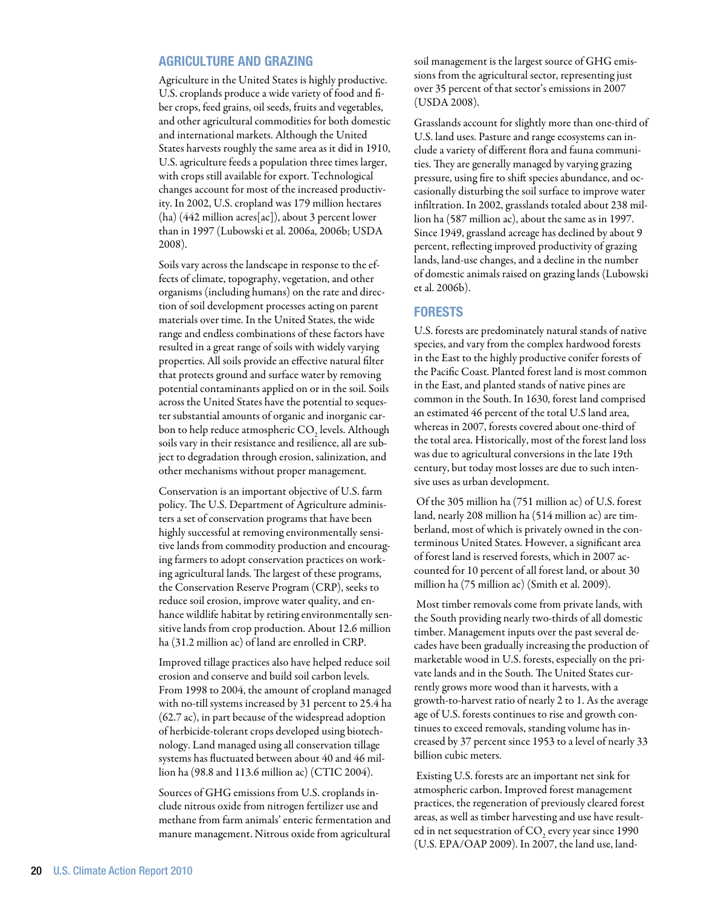# Agriculture and Grazing

Agriculture in the United States is highly productive. U.S. croplands produce a wide variety of food and fiber crops, feed grains, oil seeds, fruits and vegetables, and other agricultural commodities for both domestic and international markets. Although the United States harvests roughly the same area as it did in 1910, U.S. agriculture feeds a population three times larger, with crops still available for export. Technological changes account for most of the increased productivity. In 2002, U.S. cropland was 179 million hectares (ha) (442 million acres[ac]), about 3 percent lower than in 1997 (Lubowski et al. 2006a, 2006b; USDA 2008).

Soils vary across the landscape in response to the effects of climate, topography, vegetation, and other organisms (including humans) on the rate and direction of soil development processes acting on parent materials over time. In the United States, the wide range and endless combinations of these factors have resulted in a great range of soils with widely varying properties. All soils provide an effective natural filter that protects ground and surface water by removing potential contaminants applied on or in the soil. Soils across the United States have the potential to sequester substantial amounts of organic and inorganic carbon to help reduce atmospheric CO<sub>2</sub> levels. Although soils vary in their resistance and resilience, all are subject to degradation through erosion, salinization, and other mechanisms without proper management.

Conservation is an important objective of U.S. farm policy. The U.S. Department of Agriculture administers a set of conservation programs that have been highly successful at removing environmentally sensitive lands from commodity production and encouraging farmers to adopt conservation practices on working agricultural lands. The largest of these programs, the Conservation Reserve Program (CRP), seeks to reduce soil erosion, improve water quality, and enhance wildlife habitat by retiring environmentally sensitive lands from crop production. About 12.6 million ha (31.2 million ac) of land are enrolled in CRP.

Improved tillage practices also have helped reduce soil erosion and conserve and build soil carbon levels. From 1998 to 2004, the amount of cropland managed with no-till systems increased by 31 percent to 25.4 ha (62.7 ac), in part because of the widespread adoption of herbicide-tolerant crops developed using biotechnology. Land managed using all conservation tillage systems has fluctuated between about 40 and 46 million ha (98.8 and 113.6 million ac) (CTIC 2004).

Sources of GHG emissions from U.S. croplands include nitrous oxide from nitrogen fertilizer use and methane from farm animals' enteric fermentation and manure management. Nitrous oxide from agricultural soil management is the largest source of GHG emissions from the agricultural sector, representing just over 35 percent of that sector's emissions in 2007 (USDA 2008).

Grasslands account for slightly more than one-third of U.S. land uses. Pasture and range ecosystems can include a variety of different flora and fauna communities. They are generally managed by varying grazing pressure, using fire to shift species abundance, and occasionally disturbing the soil surface to improve water infiltration. In 2002, grasslands totaled about 238 million ha (587 million ac), about the same as in 1997. Since 1949, grassland acreage has declined by about 9 percent, reflecting improved productivity of grazing lands, land-use changes, and a decline in the number of domestic animals raised on grazing lands (Lubowski et al. 2006b).

# **FORESTS**

U.S. forests are predominately natural stands of native species, and vary from the complex hardwood forests in the East to the highly productive conifer forests of the Pacific Coast. Planted forest land is most common in the East, and planted stands of native pines are common in the South. In 1630, forest land comprised an estimated 46 percent of the total U.S land area, whereas in 2007, forests covered about one-third of the total area. Historically, most of the forest land loss was due to agricultural conversions in the late 19th century, but today most losses are due to such intensive uses as urban development.

 Of the 305 million ha (751 million ac) of U.S. forest land, nearly 208 million ha (514 million ac) are timberland, most of which is privately owned in the conterminous United States. However, a significant area of forest land is reserved forests, which in 2007 accounted for 10 percent of all forest land, or about 30 million ha (75 million ac) (Smith et al. 2009).

 Most timber removals come from private lands, with the South providing nearly two-thirds of all domestic timber. Management inputs over the past several decades have been gradually increasing the production of marketable wood in U.S. forests, especially on the private lands and in the South. The United States currently grows more wood than it harvests, with a growth-to-harvest ratio of nearly 2 to 1. As the average age of U.S. forests continues to rise and growth continues to exceed removals, standing volume has increased by 37 percent since 1953 to a level of nearly 33 billion cubic meters.

 Existing U.S. forests are an important net sink for atmospheric carbon. Improved forest management practices, the regeneration of previously cleared forest areas, as well as timber harvesting and use have resulted in net sequestration of CO<sub>2</sub> every year since 1990 (U.S. EPA/OAP 2009). In 2007, the land use, land